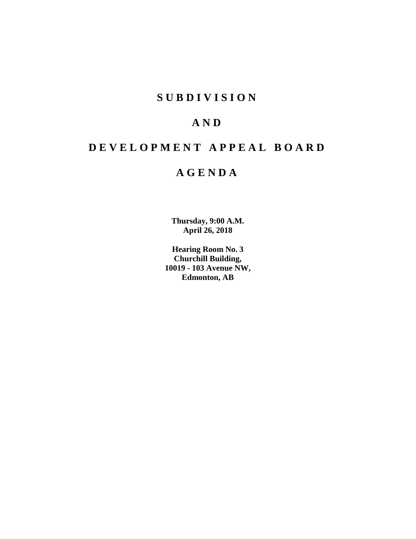# **SUBDIVISION**

# **AND**

# **DEVELOPMENT APPEAL BOARD**

# **AGENDA**

**Thursday, 9:00 A.M. April 26, 2018**

**Hearing Room No. 3 Churchill Building, 10019 - 103 Avenue NW, Edmonton, AB**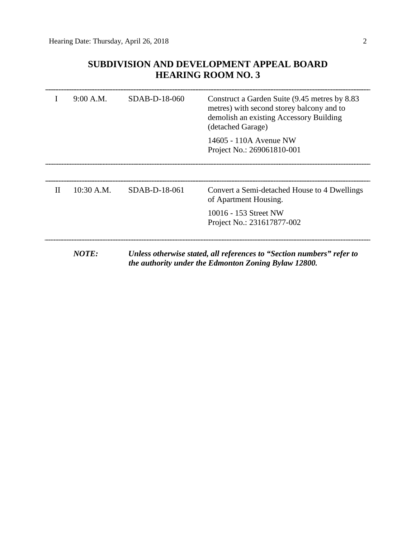# **SUBDIVISION AND DEVELOPMENT APPEAL BOARD HEARING ROOM NO. 3**

|   | 9:00 A.M.                                                                                                                              | SDAB-D-18-060 | Construct a Garden Suite (9.45 metres by 8.83<br>metres) with second storey balcony and to<br>demolish an existing Accessory Building<br>(detached Garage)<br>14605 - 110A Avenue NW<br>Project No.: 269061810-001 |  |
|---|----------------------------------------------------------------------------------------------------------------------------------------|---------------|--------------------------------------------------------------------------------------------------------------------------------------------------------------------------------------------------------------------|--|
| H | $10:30$ A.M.                                                                                                                           | SDAB-D-18-061 | Convert a Semi-detached House to 4 Dwellings<br>of Apartment Housing.                                                                                                                                              |  |
|   |                                                                                                                                        |               | 10016 - 153 Street NW<br>Project No.: 231617877-002                                                                                                                                                                |  |
|   | NOTE:<br>Unless otherwise stated, all references to "Section numbers" refer to<br>the authority under the Edmonton Zoning Bylaw 12800. |               |                                                                                                                                                                                                                    |  |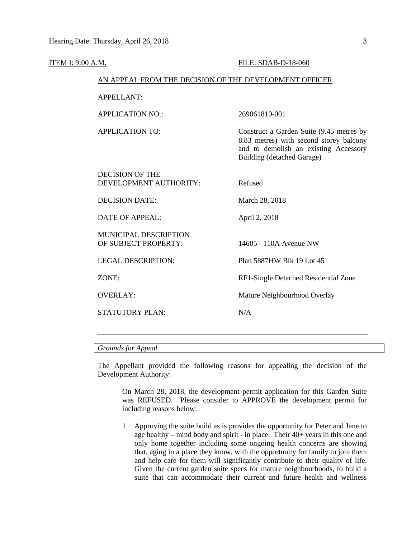| ITEM I: 9:00 A.M. |                                                        | FILE: SDAB-D-18-060                                                                                                                                        |
|-------------------|--------------------------------------------------------|------------------------------------------------------------------------------------------------------------------------------------------------------------|
|                   | AN APPEAL FROM THE DECISION OF THE DEVELOPMENT OFFICER |                                                                                                                                                            |
|                   | <b>APPELLANT:</b>                                      |                                                                                                                                                            |
|                   | <b>APPLICATION NO.:</b>                                | 269061810-001                                                                                                                                              |
|                   | <b>APPLICATION TO:</b>                                 | Construct a Garden Suite (9.45 metres by<br>8.83 metres) with second storey balcony<br>and to demolish an existing Accessory<br>Building (detached Garage) |
|                   | <b>DECISION OF THE</b><br>DEVELOPMENT AUTHORITY:       | Refused                                                                                                                                                    |
|                   | <b>DECISION DATE:</b>                                  | March 28, 2018                                                                                                                                             |
|                   | <b>DATE OF APPEAL:</b>                                 | April 2, 2018                                                                                                                                              |
|                   | <b>MUNICIPAL DESCRIPTION</b><br>OF SUBJECT PROPERTY:   | 14605 - 110A Avenue NW                                                                                                                                     |
|                   | <b>LEGAL DESCRIPTION:</b>                              | Plan 5887HW Blk 19 Lot 45                                                                                                                                  |
|                   | ZONE:                                                  | RF1-Single Detached Residential Zone                                                                                                                       |
|                   | <b>OVERLAY:</b>                                        | Mature Neighbourhood Overlay                                                                                                                               |
|                   | <b>STATUTORY PLAN:</b>                                 | N/A                                                                                                                                                        |
|                   |                                                        |                                                                                                                                                            |

*Grounds for Appeal*

The Appellant provided the following reasons for appealing the decision of the Development Authority:

On March 28, 2018, the development permit application for this Garden Suite was REFUSED. Please consider to APPROVE the development permit for including reasons below:

1. Approving the suite build as is provides the opportunity for Peter and Jane to age healthy – mind body and spirit - in place. Their 40+ years in this one and only home together including some ongoing health concerns are showing that, aging in a place they know, with the opportunity for family to join them and help care for them will significantly contribute to their quality of life. Given the current garden suite specs for mature neighbourhoods, to build a suite that can accommodate their current and future health and wellness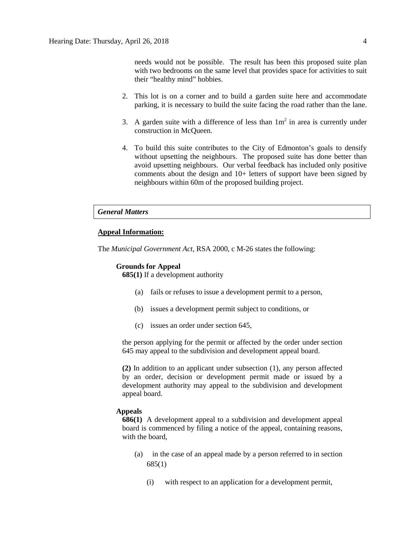- 2. This lot is on a corner and to build a garden suite here and accommodate parking, it is necessary to build the suite facing the road rather than the lane.
- 3. A garden suite with a difference of less than  $1m<sup>2</sup>$  in area is currently under construction in McQueen.
- 4. To build this suite contributes to the City of Edmonton's goals to densify without upsetting the neighbours. The proposed suite has done better than avoid upsetting neighbours. Our verbal feedback has included only positive comments about the design and 10+ letters of support have been signed by neighbours within 60m of the proposed building project.

## *General Matters*

# **Appeal Information:**

The *Municipal Government Act*, RSA 2000, c M-26 states the following:

## **Grounds for Appeal**

**685(1)** If a development authority

- (a) fails or refuses to issue a development permit to a person,
- (b) issues a development permit subject to conditions, or
- (c) issues an order under section 645,

the person applying for the permit or affected by the order under section 645 may appeal to the subdivision and development appeal board.

**(2)** In addition to an applicant under subsection (1), any person affected by an order, decision or development permit made or issued by a development authority may appeal to the subdivision and development appeal board.

# **Appeals**

**686(1)** A development appeal to a subdivision and development appeal board is commenced by filing a notice of the appeal, containing reasons, with the board,

- (a) in the case of an appeal made by a person referred to in section 685(1)
	- (i) with respect to an application for a development permit,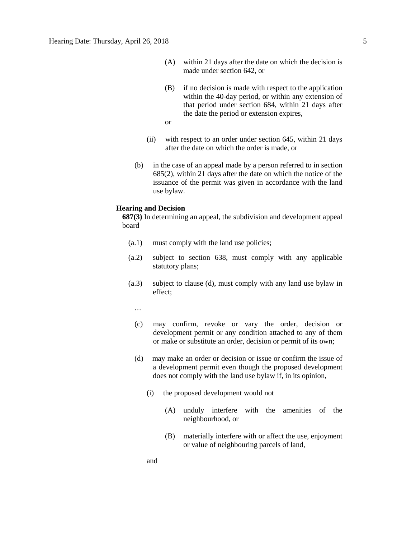- (A) within 21 days after the date on which the decision is made under section 642, or
- (B) if no decision is made with respect to the application within the 40-day period, or within any extension of that period under section 684, within 21 days after the date the period or extension expires,

or

- (ii) with respect to an order under section 645, within 21 days after the date on which the order is made, or
- (b) in the case of an appeal made by a person referred to in section 685(2), within 21 days after the date on which the notice of the issuance of the permit was given in accordance with the land use bylaw.

#### **Hearing and Decision**

**687(3)** In determining an appeal, the subdivision and development appeal board

- (a.1) must comply with the land use policies;
- (a.2) subject to section 638, must comply with any applicable statutory plans;
- (a.3) subject to clause (d), must comply with any land use bylaw in effect;

…

- (c) may confirm, revoke or vary the order, decision or development permit or any condition attached to any of them or make or substitute an order, decision or permit of its own;
- (d) may make an order or decision or issue or confirm the issue of a development permit even though the proposed development does not comply with the land use bylaw if, in its opinion,
	- (i) the proposed development would not
		- (A) unduly interfere with the amenities of the neighbourhood, or
		- (B) materially interfere with or affect the use, enjoyment or value of neighbouring parcels of land,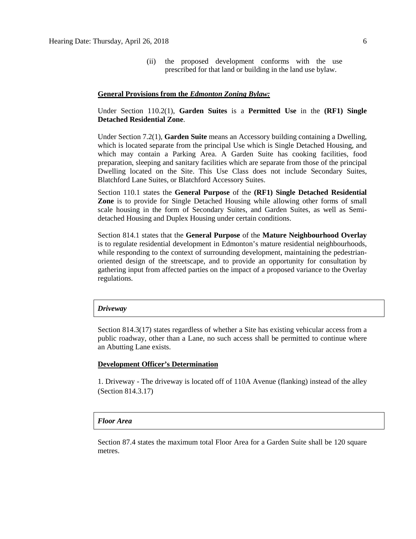(ii) the proposed development conforms with the use prescribed for that land or building in the land use bylaw.

#### **General Provisions from the** *Edmonton Zoning Bylaw:*

# Under Section 110.2(1), **Garden Suites** is a **Permitted Use** in the **(RF1) Single Detached Residential Zone**.

Under Section 7.2(1), **Garden Suite** means an Accessory building containing a Dwelling, which is located separate from the principal Use which is Single Detached Housing, and which may contain a Parking Area. A Garden Suite has cooking facilities, food preparation, sleeping and sanitary facilities which are separate from those of the principal Dwelling located on the Site. This Use Class does not include Secondary Suites, Blatchford Lane Suites, or Blatchford Accessory Suites.

Section 110.1 states the **General Purpose** of the **(RF1) Single Detached Residential Zone** is to provide for Single Detached Housing while allowing other forms of small scale housing in the form of Secondary Suites, and Garden Suites, as well as Semidetached Housing and Duplex Housing under certain conditions.

Section 814.1 states that the **General Purpose** of the **Mature Neighbourhood Overlay** is to regulate residential development in Edmonton's mature residential neighbourhoods, while responding to the context of surrounding development, maintaining the pedestrianoriented design of the streetscape, and to provide an opportunity for consultation by gathering input from affected parties on the impact of a proposed variance to the Overlay regulations.

#### *Driveway*

Section 814.3(17) states regardless of whether a Site has existing vehicular access from a public roadway, other than a Lane, no such access shall be permitted to continue where an Abutting Lane exists.

# **Development Officer's Determination**

1. Driveway - The driveway is located off of 110A Avenue (flanking) instead of the alley (Section 814.3.17)

## *Floor Area*

Section 87.4 states the maximum total Floor Area for a Garden Suite shall be 120 square metres.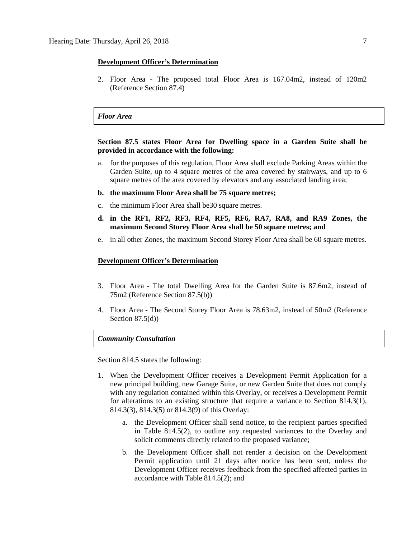### **Development Officer's Determination**

2. Floor Area - The proposed total Floor Area is 167.04m2, instead of 120m2 (Reference Section 87.4)

# *Floor Area*

**Section 87.5 states Floor Area for Dwelling space in a Garden Suite shall be provided in accordance with the following:**

- a. for the purposes of this regulation, Floor Area shall exclude Parking Areas within the Garden Suite, up to [4](javascript:BSSCPopup() square metres of the area covered by stairways, and up to [6](javascript:BSSCPopup() square metres of the area covered by elevators and any associated landing area;
- **b. the maximum Floor Area shall b[e 75 square](javascript:BSSCPopup() metres;**
- c. the minimum Floor Area shall be30 square metres.
- **d. in the [RF1,](javascript:BSSCPopup() [RF2,](javascript:BSSCPopup() [RF3,](javascript:BSSCPopup() [RF4,](javascript:BSSCPopup() [RF5,](javascript:BSSCPopup() [RF6,](javascript:BSSCPopup() [RA7,](javascript:BSSCPopup() [RA8,](javascript:BSSCPopup() and [RA9](javascript:BSSCPopup() Zones, the maximum Second Storey Floor Area shall be [50](javascript:BSSCPopup() square metres; and**
- e. in all other Zones, the maximum Second Storey Floor Area shall be [60](javascript:BSSCPopup() square metres.

#### **Development Officer's Determination**

- 3. Floor Area The total Dwelling Area for the Garden Suite is 87.6m2, instead of 75m2 (Reference Section 87.5(b))
- 4. Floor Area The Second Storey Floor Area is 78.63m2, instead of 50m2 (Reference Section  $87.5(d)$ )

# *Community Consultation*

Section 814.5 states the following:

- 1. When the Development Officer receives a Development Permit Application for a new principal building, new Garage Suite, or new Garden Suite that does not comply with any regulation contained within this Overlay, or receives a Development Permit for alterations to an existing structure that require a variance to Section 814.3(1), 814.3(3), 814.3(5) or 814.3(9) of this Overlay:
	- a. the Development Officer shall send notice, to the recipient parties specified in Table 814.5(2), to outline any requested variances to the Overlay and solicit comments directly related to the proposed variance;
	- b. the Development Officer shall not render a decision on the Development Permit application until 21 days after notice has been sent, unless the Development Officer receives feedback from the specified affected parties in accordance with Table 814.5(2); and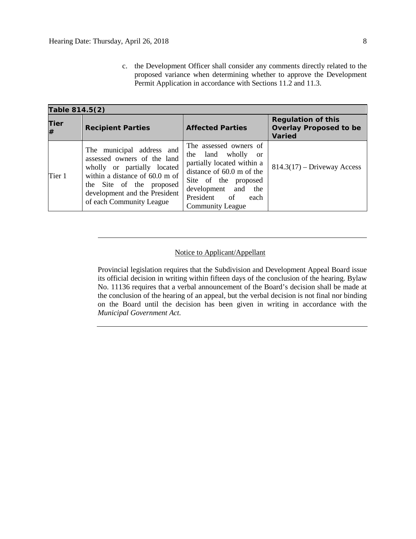c. the Development Officer shall consider any comments directly related to the proposed variance when determining whether to approve the Development Permit Application in accordance with Sections 11.2 and 11.3.

| Table 814.5(2)                        |                                                                                                                                                                                                                    |                                                                                                                                                                                                                           |                                                                             |  |  |  |
|---------------------------------------|--------------------------------------------------------------------------------------------------------------------------------------------------------------------------------------------------------------------|---------------------------------------------------------------------------------------------------------------------------------------------------------------------------------------------------------------------------|-----------------------------------------------------------------------------|--|--|--|
| Tier<br><b>Recipient Parties</b><br># |                                                                                                                                                                                                                    | <b>Affected Parties</b>                                                                                                                                                                                                   | <b>Regulation of this</b><br><b>Overlay Proposed to be</b><br><b>Varied</b> |  |  |  |
| Tier 1                                | The municipal address and<br>assessed owners of the land<br>wholly or partially located<br>within a distance of 60.0 m of<br>the Site of the proposed<br>development and the President<br>of each Community League | The assessed owners of<br>the land wholly<br><sub>or</sub><br>partially located within a<br>distance of $60.0$ m of the<br>Site of the proposed<br>development and the<br>President of<br>each<br><b>Community League</b> | $814.3(17)$ – Driveway Access                                               |  |  |  |

# Notice to Applicant/Appellant

Provincial legislation requires that the Subdivision and Development Appeal Board issue its official decision in writing within fifteen days of the conclusion of the hearing. Bylaw No. 11136 requires that a verbal announcement of the Board's decision shall be made at the conclusion of the hearing of an appeal, but the verbal decision is not final nor binding on the Board until the decision has been given in writing in accordance with the *Municipal Government Act.*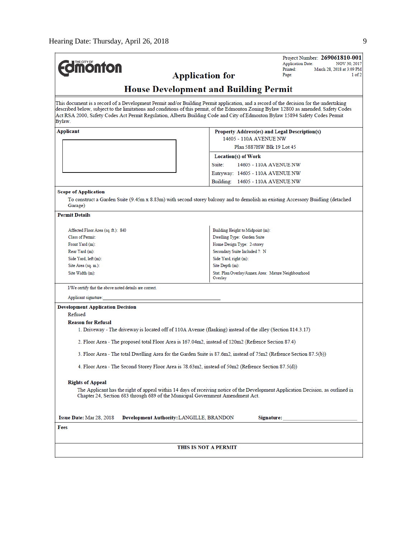| THE CITY OF<br><b>ionton</b>                                                                                                           | Project Number: 269061810-001<br><b>Application Date:</b><br>NOV 30, 2017<br>Printed:<br>March 28, 2018 at 3:09 PM<br><b>Application for</b><br>Page:<br>1 of 2                                                                                                                  |  |  |  |  |  |
|----------------------------------------------------------------------------------------------------------------------------------------|----------------------------------------------------------------------------------------------------------------------------------------------------------------------------------------------------------------------------------------------------------------------------------|--|--|--|--|--|
| <b>House Development and Building Permit</b>                                                                                           |                                                                                                                                                                                                                                                                                  |  |  |  |  |  |
| Act RSA 2000, Safety Codes Act Permit Regulation, Alberta Building Code and City of Edmonton Bylaw 15894 Safety Codes Permit<br>Bylaw. | This document is a record of a Development Permit and/or Building Permit application, and a record of the decision for the undertaking<br>described below, subject to the limitations and conditions of this permit, of the Edmonton Zoning Bylaw 12800 as amended, Safety Codes |  |  |  |  |  |
| Applicant                                                                                                                              | Property Address(es) and Legal Description(s)                                                                                                                                                                                                                                    |  |  |  |  |  |
|                                                                                                                                        | 14605 - 110A AVENUE NW                                                                                                                                                                                                                                                           |  |  |  |  |  |
|                                                                                                                                        | Plan 5887HW Blk 19 Lot 45                                                                                                                                                                                                                                                        |  |  |  |  |  |
|                                                                                                                                        | Location(s) of Work                                                                                                                                                                                                                                                              |  |  |  |  |  |
|                                                                                                                                        | Suite:<br>14605 - 110A AVENUE NW                                                                                                                                                                                                                                                 |  |  |  |  |  |
|                                                                                                                                        | Entryway: 14605 - 110A AVENUE NW                                                                                                                                                                                                                                                 |  |  |  |  |  |
|                                                                                                                                        |                                                                                                                                                                                                                                                                                  |  |  |  |  |  |
|                                                                                                                                        | Building: 14605 - 110A AVENUE NW                                                                                                                                                                                                                                                 |  |  |  |  |  |
| <b>Scope of Application</b><br>Garage)                                                                                                 | To construct a Garden Suite (9.45m x 8.83m) with second storey balcony and to demolish an existing Accessory Buidling (detached                                                                                                                                                  |  |  |  |  |  |
| <b>Permit Details</b>                                                                                                                  |                                                                                                                                                                                                                                                                                  |  |  |  |  |  |
|                                                                                                                                        |                                                                                                                                                                                                                                                                                  |  |  |  |  |  |
| Affected Floor Area (sq. ft.): 840<br><b>Class of Permit:</b>                                                                          | Building Height to Midpoint (m):<br>Dwelling Type: Garden Suite                                                                                                                                                                                                                  |  |  |  |  |  |
| Front Yard (m):                                                                                                                        | Home Design Type: 2-storey                                                                                                                                                                                                                                                       |  |  |  |  |  |
| Rear Yard (m):                                                                                                                         | Secondary Suite Included ?: N                                                                                                                                                                                                                                                    |  |  |  |  |  |
| Side Yard, left (m):                                                                                                                   | Side Yard, right (m):                                                                                                                                                                                                                                                            |  |  |  |  |  |
| Site Area (sq. m.):                                                                                                                    | Site Depth (m):                                                                                                                                                                                                                                                                  |  |  |  |  |  |
| Site Width (m):                                                                                                                        | Stat. Plan Overlay/Annex Area: Mature Neighbourhood<br>Overlay                                                                                                                                                                                                                   |  |  |  |  |  |
| I/We certify that the above noted details are correct.                                                                                 |                                                                                                                                                                                                                                                                                  |  |  |  |  |  |
| Applicant signature:                                                                                                                   |                                                                                                                                                                                                                                                                                  |  |  |  |  |  |
| <b>Development Application Decision</b><br>Refused<br><b>Reason for Refusal</b>                                                        |                                                                                                                                                                                                                                                                                  |  |  |  |  |  |
| 1. Driveway - The driveway is located off of 110A Avenue (flanking) instead of the alley (Section 814.3.17)                            |                                                                                                                                                                                                                                                                                  |  |  |  |  |  |
| 2. Floor Area - The proposed total Floor Area is 167.04m2, instead of 120m2 (Refrence Section 87.4)                                    |                                                                                                                                                                                                                                                                                  |  |  |  |  |  |
|                                                                                                                                        | 3. Floor Area - The total Dwelling Area for the Garden Suite is 87.6m2, instead of 75m2 (Refrence Section 87.5(b))                                                                                                                                                               |  |  |  |  |  |
| 4. Floor Area - The Second Storey Floor Area is 78.63m2, instead of 50m2 (Refrence Section 87.5(d))                                    |                                                                                                                                                                                                                                                                                  |  |  |  |  |  |
| <b>Rights of Appeal</b>                                                                                                                |                                                                                                                                                                                                                                                                                  |  |  |  |  |  |
| Chapter 24, Section 683 through 689 of the Municipal Government Amendment Act.                                                         | The Applicant has the right of appeal within 14 days of receiving notice of the Development Application Decision, as outlined in                                                                                                                                                 |  |  |  |  |  |
| <b>Issue Date:</b> Mar 28, 2018<br>Development Authority: LANGILLE, BRANDON                                                            | Signature:                                                                                                                                                                                                                                                                       |  |  |  |  |  |
| Fees                                                                                                                                   |                                                                                                                                                                                                                                                                                  |  |  |  |  |  |
|                                                                                                                                        |                                                                                                                                                                                                                                                                                  |  |  |  |  |  |
|                                                                                                                                        | THIS IS NOT A PERMIT                                                                                                                                                                                                                                                             |  |  |  |  |  |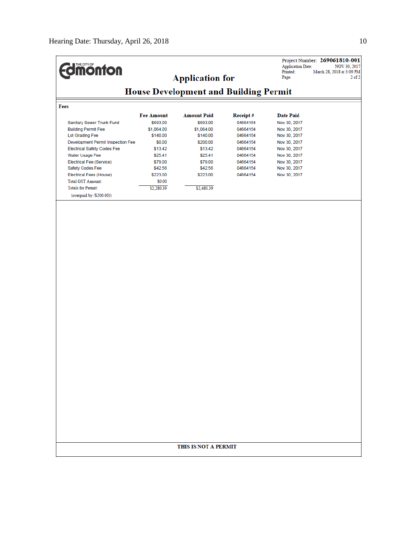| <b><i><u><u>monton</u></u></i></b>           | <b>Application for</b> |                    | <b>Application Date:</b><br>Printed:<br>Page: | Project Number: 269061810-001<br>NOV 30, 2017<br>March 28, 2018 at 3:09 PM<br>$2$ of $2$ |  |  |  |
|----------------------------------------------|------------------------|--------------------|-----------------------------------------------|------------------------------------------------------------------------------------------|--|--|--|
| <b>House Development and Building Permit</b> |                        |                    |                                               |                                                                                          |  |  |  |
| Fees                                         |                        |                    |                                               |                                                                                          |  |  |  |
|                                              | <b>Fee Amount</b>      | <b>Amount Paid</b> | Receipt#                                      | <b>Date Paid</b>                                                                         |  |  |  |
| Sanitary Sewer Trunk Fund                    | \$693.00               | \$693.00           | 04664154                                      | Nov 30, 2017                                                                             |  |  |  |
| <b>Building Permit Fee</b>                   | \$1,064.00             | \$1,064.00         | 04664154                                      | Nov 30, 2017                                                                             |  |  |  |
| Lot Grading Fee                              | \$140.00               | \$140.00           | 04664154                                      | Nov 30, 2017                                                                             |  |  |  |
| Development Permit Inspection Fee            | \$0.00                 | \$200.00           | 04664154                                      | Nov 30, 2017                                                                             |  |  |  |
| <b>Electrical Safety Codes Fee</b>           | \$13.42                | \$13.42            | 04664154                                      | Nov 30, 2017                                                                             |  |  |  |
| Water Usage Fee                              | \$25.41                | \$25.41            | 04664154                                      | Nov 30, 2017                                                                             |  |  |  |
| Electrical Fee (Service)                     | \$79.00                | \$79.00            | 04664154                                      | Nov 30, 2017                                                                             |  |  |  |
| Safety Codes Fee                             | \$42.56                | \$42.56            | 04664154                                      | Nov 30, 2017                                                                             |  |  |  |
| Electrical Fees (House)                      | \$223.00               | \$223.00           | 04664154                                      | Nov 30, 2017                                                                             |  |  |  |
| <b>Total GST Amount:</b>                     | \$0.00                 |                    |                                               |                                                                                          |  |  |  |
| <b>Totals for Permit:</b>                    | \$2,280.39             | \$2,480.39         |                                               |                                                                                          |  |  |  |
| (overpaid by (\$200.00))                     |                        |                    |                                               |                                                                                          |  |  |  |
|                                              |                        |                    |                                               |                                                                                          |  |  |  |
| THIS IS NOT A PERMIT                         |                        |                    |                                               |                                                                                          |  |  |  |
|                                              |                        |                    |                                               |                                                                                          |  |  |  |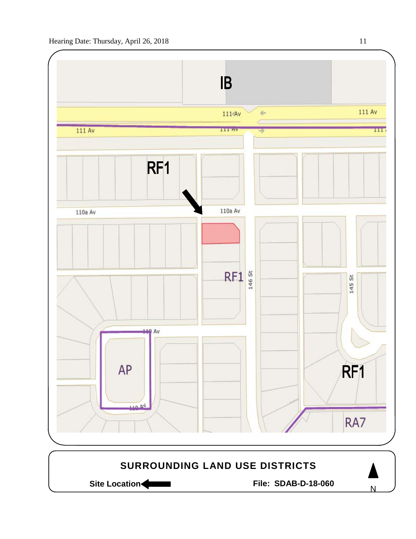

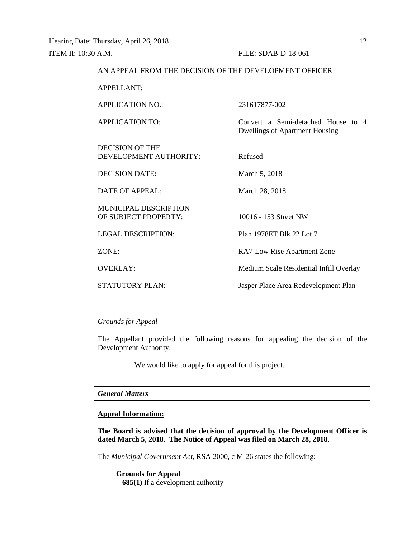# AN APPEAL FROM THE DECISION OF THE DEVELOPMENT OFFICER

APPELLANT:

APPLICATION NO.: 231617877-002

APPLICATION TO: Convert a Semi-detached House to 4

DECISION OF THE DEVELOPMENT AUTHORITY: Refused

DECISION DATE: March 5, 2018

DATE OF APPEAL: March 28, 2018

MUNICIPAL DESCRIPTION OF SUBJECT PROPERTY: 10016 - 153 Street NW

LEGAL DESCRIPTION: Plan 1978ET Blk 22 Lot 7

ZONE: RA7-Low Rise Apartment Zone

Dwellings of Apartment Housing

OVERLAY: Medium Scale Residential Infill Overlay

STATUTORY PLAN: Jasper Place Area Redevelopment Plan

*Grounds for Appeal*

The Appellant provided the following reasons for appealing the decision of the Development Authority:

We would like to apply for appeal for this project.

# *General Matters*

# **Appeal Information:**

**The Board is advised that the decision of approval by the Development Officer is dated March 5, 2018. The Notice of Appeal was filed on March 28, 2018.**

The *Municipal Government Act*, RSA 2000, c M-26 states the following:

**Grounds for Appeal 685(1)** If a development authority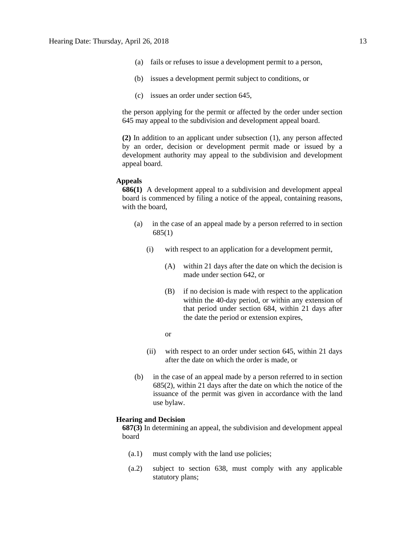- (a) fails or refuses to issue a development permit to a person,
- (b) issues a development permit subject to conditions, or
- (c) issues an order under section 645,

the person applying for the permit or affected by the order under section 645 may appeal to the subdivision and development appeal board.

**(2)** In addition to an applicant under subsection (1), any person affected by an order, decision or development permit made or issued by a development authority may appeal to the subdivision and development appeal board.

# **Appeals**

**686(1)** A development appeal to a subdivision and development appeal board is commenced by filing a notice of the appeal, containing reasons, with the board,

- (a) in the case of an appeal made by a person referred to in section 685(1)
	- (i) with respect to an application for a development permit,
		- (A) within 21 days after the date on which the decision is made under section 642, or
		- (B) if no decision is made with respect to the application within the 40-day period, or within any extension of that period under section 684, within 21 days after the date the period or extension expires,
		- or
	- (ii) with respect to an order under section 645, within 21 days after the date on which the order is made, or
- (b) in the case of an appeal made by a person referred to in section 685(2), within 21 days after the date on which the notice of the issuance of the permit was given in accordance with the land use bylaw.

#### **Hearing and Decision**

**687(3)** In determining an appeal, the subdivision and development appeal board

- (a.1) must comply with the land use policies;
- (a.2) subject to section 638, must comply with any applicable statutory plans;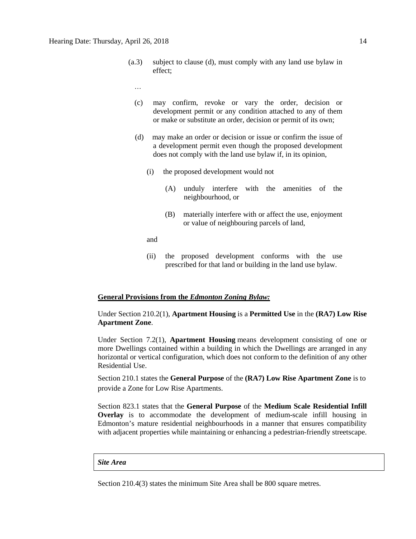- (a.3) subject to clause (d), must comply with any land use bylaw in effect;
	- …
	- (c) may confirm, revoke or vary the order, decision or development permit or any condition attached to any of them or make or substitute an order, decision or permit of its own;
	- (d) may make an order or decision or issue or confirm the issue of a development permit even though the proposed development does not comply with the land use bylaw if, in its opinion,
		- (i) the proposed development would not
			- (A) unduly interfere with the amenities of the neighbourhood, or
			- (B) materially interfere with or affect the use, enjoyment or value of neighbouring parcels of land,

and

(ii) the proposed development conforms with the use prescribed for that land or building in the land use bylaw.

## **General Provisions from the** *Edmonton Zoning Bylaw:*

Under Section 210.2(1), **Apartment Housing** is a **Permitted Use** in the **(RA7) Low Rise Apartment Zone**.

Under Section 7.2(1), **Apartment Housing** means development consisting of one or more Dwellings contained within a building in which the Dwellings are arranged in any horizontal or vertical configuration, which does not conform to the definition of any other Residential Use.

Section 210.1 states the **General Purpose** of the **(RA7) Low Rise Apartment Zone** is to provide a Zone for Low Rise Apartments.

Section 823.1 states that the **General Purpose** of the **Medium Scale Residential Infill Overlay** is to accommodate the development of medium-scale infill housing in Edmonton's mature residential neighbourhoods in a manner that ensures compatibility with adjacent properties while maintaining or enhancing a pedestrian-friendly streetscape.

#### *Site Area*

Section 210.4(3) states the minimum Site Area shall be 800 square metres.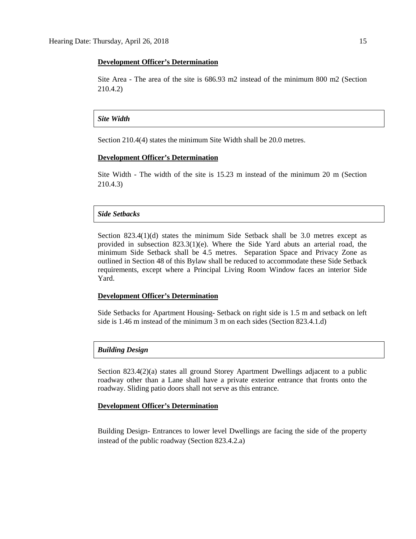## **Development Officer's Determination**

Site Area - The area of the site is 686.93 m2 instead of the minimum 800 m2 (Section 210.4.2)

## *Site Width*

Section 210.4(4) states the minimum Site Width shall be 20.0 metres.

# **Development Officer's Determination**

Site Width - The width of the site is 15.23 m instead of the minimum 20 m (Section 210.4.3)

# *Side Setbacks*

Section  $823.4(1)(d)$  states the minimum Side Setback shall be 3.0 metres except as provided in subsection  $823.3(1)(e)$ . Where the Side Yard abuts an arterial road, the minimum Side Setback shall be 4.5 metres. Separation Space and Privacy Zone as outlined in Section 48 of this Bylaw shall be reduced to accommodate these Side Setback requirements, except where a Principal Living Room Window faces an interior Side Yard.

## **Development Officer's Determination**

Side Setbacks for Apartment Housing- Setback on right side is 1.5 m and setback on left side is 1.46 m instead of the minimum 3 m on each sides (Section 823.4.1.d)

#### *Building Design*

Section 823.4(2)(a) states all ground Storey Apartment Dwellings adjacent to a public roadway other than a Lane shall have a private exterior entrance that fronts onto the roadway. Sliding patio doors shall not serve as this entrance.

#### **Development Officer's Determination**

Building Design- Entrances to lower level Dwellings are facing the side of the property instead of the public roadway (Section 823.4.2.a)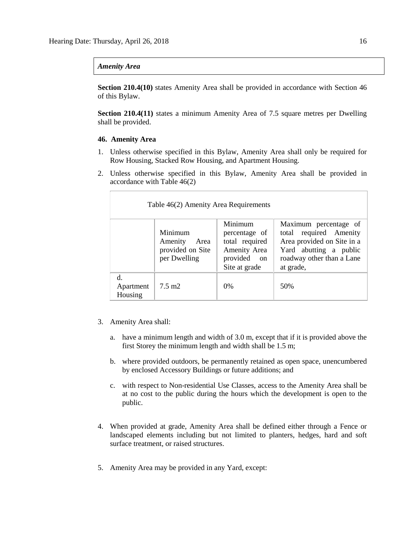# *Amenity Area*

**Section 210.4(10)** states Amenity Area shall be provided in accordance with Section 46 of this Bylaw.

**Section 210.4(11)** states a minimum Amenity Area of 7.5 square metres per Dwelling shall be provided.

# **46. Amenity Area**

- 1. Unless otherwise specified in this Bylaw, Amenity Area shall only be required for Row Housing, Stacked Row Housing, and Apartment Housing.
- 2. Unless otherwise specified in this Bylaw, Amenity Area shall be provided in accordance with Table 46(2)

| Table 46(2) Amenity Area Requirements                          |                  |                                                                                            |                                                                                                                                                   |  |  |  |
|----------------------------------------------------------------|------------------|--------------------------------------------------------------------------------------------|---------------------------------------------------------------------------------------------------------------------------------------------------|--|--|--|
| Minimum<br>Amenity<br>Area<br>provided on Site<br>per Dwelling |                  | Minimum<br>percentage of<br>total required<br>Amenity Area<br>provided on<br>Site at grade | Maximum percentage of<br>total required Amenity<br>Area provided on Site in a<br>Yard abutting a public<br>roadway other than a Lane<br>at grade, |  |  |  |
| d.<br>Apartment<br>Housing                                     | $7.5 \text{ m2}$ | $0\%$                                                                                      | 50%                                                                                                                                               |  |  |  |

- 3. Amenity Area shall:
	- a. have a minimum length and width of 3.0 m, except that if it is provided above the first Storey the minimum length and width shall be 1.5 m;
	- b. where provided outdoors, be permanently retained as open space, unencumbered by enclosed Accessory Buildings or future additions; and
	- c. with respect to Non-residential Use Classes, access to the Amenity Area shall be at no cost to the public during the hours which the development is open to the public.
- 4. When provided at grade, Amenity Area shall be defined either through a Fence or landscaped elements including but not limited to planters, hedges, hard and soft surface treatment, or raised structures.
- 5. Amenity Area may be provided in any Yard, except: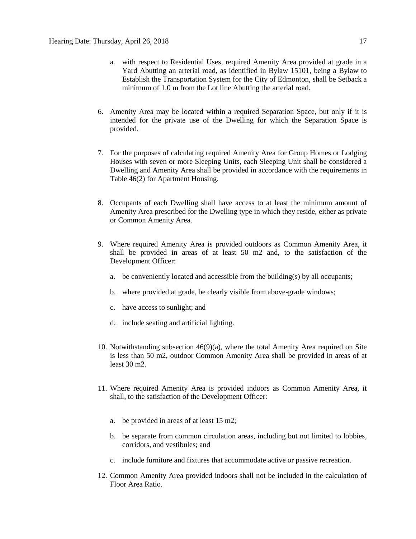- a. with respect to Residential Uses, required Amenity Area provided at grade in a Yard Abutting an arterial road, as identified in Bylaw 15101, being a Bylaw to Establish the Transportation System for the City of Edmonton, shall be Setback a minimum of 1.0 m from the Lot line Abutting the arterial road.
- 6. Amenity Area may be located within a required Separation Space, but only if it is intended for the private use of the Dwelling for which the Separation Space is provided.
- 7. For the purposes of calculating required Amenity Area for Group Homes or Lodging Houses with seven or more Sleeping Units, each Sleeping Unit shall be considered a Dwelling and Amenity Area shall be provided in accordance with the requirements in Table 46(2) for Apartment Housing.
- 8. Occupants of each Dwelling shall have access to at least the minimum amount of Amenity Area prescribed for the Dwelling type in which they reside, either as private or Common Amenity Area.
- 9. Where required Amenity Area is provided outdoors as Common Amenity Area, it shall be provided in areas of at least 50 m2 and, to the satisfaction of the Development Officer:
	- a. be conveniently located and accessible from the building(s) by all occupants;
	- b. where provided at grade, be clearly visible from above-grade windows;
	- c. have access to sunlight; and
	- d. include seating and artificial lighting.
- 10. Notwithstanding subsection  $46(9)(a)$ , where the total Amenity Area required on Site is less than 50 m2, outdoor Common Amenity Area shall be provided in areas of at least 30 m2.
- 11. Where required Amenity Area is provided indoors as Common Amenity Area, it shall, to the satisfaction of the Development Officer:
	- a. be provided in areas of at least 15 m2;
	- b. be separate from common circulation areas, including but not limited to lobbies, corridors, and vestibules; and
	- c. include furniture and fixtures that accommodate active or passive recreation.
- 12. Common Amenity Area provided indoors shall not be included in the calculation of Floor Area Ratio.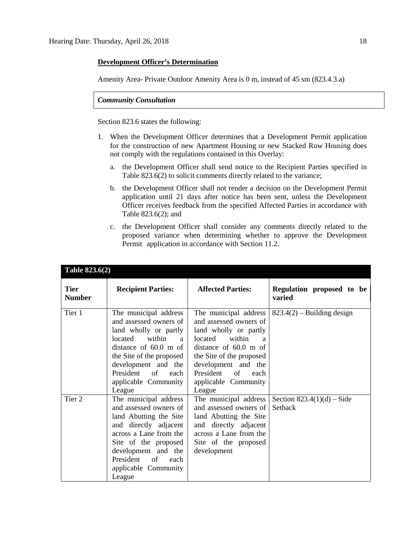# **Development Officer's Determination**

Amenity Area- Private Outdoor Amenity Area is 0 m, instead of 45 sm (823.4.3.a)

*Community Consultation*

Section 823.6 states the following:

- 1. When the Development Officer determines that a Development Permit application for the construction of new Apartment Housing or new Stacked Row Housing does not comply with the regulations contained in this Overlay:
	- a. the Development Officer shall send notice to the Recipient Parties specified in Table 823.6(2) to solicit comments directly related to the variance;
	- b. the Development Officer shall not render a decision on the Development Permit application until 21 days after notice has been sent, unless the Development Officer receives feedback from the specified Affected Parties in accordance with Table 823.6(2); and
	- c. the Development Officer shall consider any comments directly related to the proposed variance when determining whether to approve the Development Permit application in accordance with Section 11.2.

| <b>Tier</b><br><b>Number</b> | <b>Recipient Parties:</b>                                                                                                                                                                                                                          | <b>Affected Parties:</b>                                                                                                                                                                                                                   | Regulation proposed to be<br>varied     |
|------------------------------|----------------------------------------------------------------------------------------------------------------------------------------------------------------------------------------------------------------------------------------------------|--------------------------------------------------------------------------------------------------------------------------------------------------------------------------------------------------------------------------------------------|-----------------------------------------|
| Tier 1                       | The municipal address<br>and assessed owners of<br>land wholly or partly<br>located within<br>$\mathbf{a}$<br>distance of $60.0$ m of<br>the Site of the proposed<br>development and the<br>President of<br>each<br>applicable Community<br>League | The municipal address<br>and assessed owners of<br>land wholly or partly<br>located<br>within<br>a<br>distance of $60.0$ m of<br>the Site of the proposed<br>development and the<br>President of<br>each<br>applicable Community<br>League | $823.4(2)$ – Building design            |
| Tier 2                       | The municipal address<br>and assessed owners of<br>land Abutting the Site<br>and directly adjacent<br>across a Lane from the<br>Site of the proposed<br>development and the<br>President of<br>each<br>applicable Community<br>League              | The municipal address<br>and assessed owners of<br>land Abutting the Site<br>and directly adjacent<br>across a Lane from the<br>Site of the proposed<br>development                                                                        | Section $823.4(1)(d) - Side$<br>Setback |

# **Table 823.6(2)**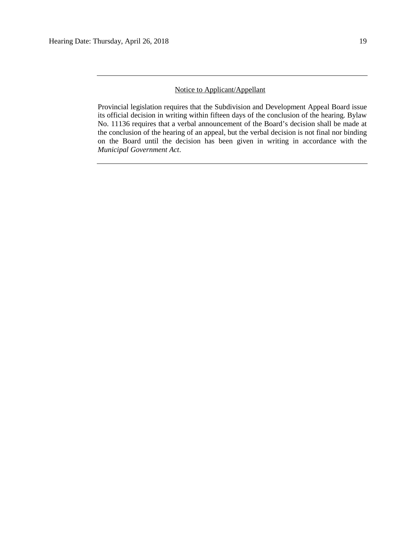# Notice to Applicant/Appellant

Provincial legislation requires that the Subdivision and Development Appeal Board issue its official decision in writing within fifteen days of the conclusion of the hearing. Bylaw No. 11136 requires that a verbal announcement of the Board's decision shall be made at the conclusion of the hearing of an appeal, but the verbal decision is not final nor binding on the Board until the decision has been given in writing in accordance with the *Municipal Government Act*.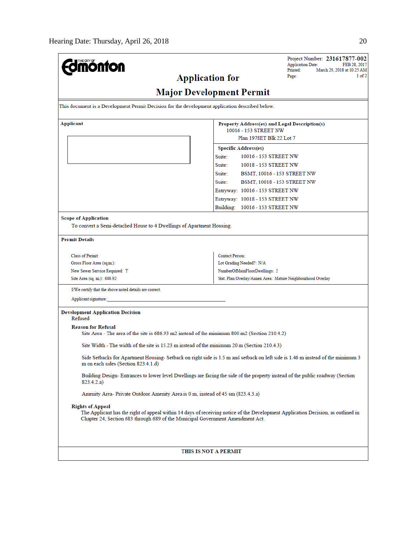| <b><i><u>amonton</u></i></b>                                                                                                                                                                                                                  | Project Number: 231617877-002<br><b>Application Date:</b><br>FEB 28, 2017 |  |  |  |  |  |
|-----------------------------------------------------------------------------------------------------------------------------------------------------------------------------------------------------------------------------------------------|---------------------------------------------------------------------------|--|--|--|--|--|
|                                                                                                                                                                                                                                               | March 29, 2018 at 10:25 AM<br>Printed:<br>1 of 2<br>Page:                 |  |  |  |  |  |
| <b>Application for</b>                                                                                                                                                                                                                        |                                                                           |  |  |  |  |  |
| <b>Major Development Permit</b>                                                                                                                                                                                                               |                                                                           |  |  |  |  |  |
| This document is a Development Permit Decision for the development application described below.                                                                                                                                               |                                                                           |  |  |  |  |  |
| <b>Applicant</b><br>Property Address(es) and Legal Description(s)<br>10016 - 153 STREET NW                                                                                                                                                    |                                                                           |  |  |  |  |  |
|                                                                                                                                                                                                                                               | Plan 1978ET Blk 22 Lot 7                                                  |  |  |  |  |  |
|                                                                                                                                                                                                                                               | <b>Specific Address(es)</b>                                               |  |  |  |  |  |
|                                                                                                                                                                                                                                               | Suite:<br>10016 - 153 STREET NW                                           |  |  |  |  |  |
|                                                                                                                                                                                                                                               | Suite:<br>10018 - 153 STREET NW                                           |  |  |  |  |  |
|                                                                                                                                                                                                                                               | Suite:<br>BSMT, 10016 - 153 STREET NW                                     |  |  |  |  |  |
|                                                                                                                                                                                                                                               | Suite:<br>BSMT, 10018 - 153 STREET NW                                     |  |  |  |  |  |
|                                                                                                                                                                                                                                               | Entryway: 10016 - 153 STREET NW                                           |  |  |  |  |  |
|                                                                                                                                                                                                                                               | Entryway: 10018 - 153 STREET NW                                           |  |  |  |  |  |
|                                                                                                                                                                                                                                               | Building: 10016 - 153 STREET NW                                           |  |  |  |  |  |
|                                                                                                                                                                                                                                               |                                                                           |  |  |  |  |  |
| <b>Scope of Application</b><br>To convert a Semi-detached House to 4 Dwellings of Apartment Housing.                                                                                                                                          |                                                                           |  |  |  |  |  |
| <b>Permit Details</b>                                                                                                                                                                                                                         |                                                                           |  |  |  |  |  |
|                                                                                                                                                                                                                                               |                                                                           |  |  |  |  |  |
| <b>Class of Permit:</b>                                                                                                                                                                                                                       | Contact Person:                                                           |  |  |  |  |  |
| Lot Grading Needed?: N/A<br>Gross Floor Area (sq.m.):<br>New Sewer Service Required: Y<br>NumberOfMainFloorDwellings: 2                                                                                                                       |                                                                           |  |  |  |  |  |
| Site Area (sq. m.): 686.92                                                                                                                                                                                                                    | Stat. Plan Overlay/Annex Area: Mature Neighbourhood Overlay               |  |  |  |  |  |
| I/We certify that the above noted details are correct.                                                                                                                                                                                        |                                                                           |  |  |  |  |  |
| Applicant signature:                                                                                                                                                                                                                          |                                                                           |  |  |  |  |  |
| <b>Development Application Decision</b>                                                                                                                                                                                                       |                                                                           |  |  |  |  |  |
| Refused                                                                                                                                                                                                                                       |                                                                           |  |  |  |  |  |
| <b>Reason for Refusal</b>                                                                                                                                                                                                                     |                                                                           |  |  |  |  |  |
| Site Area - The area of the site is 686.93 m2 instead of the minimum 800 m2 (Section 210.4.2)                                                                                                                                                 |                                                                           |  |  |  |  |  |
| Site Width - The width of the site is 15.23 m instead of the minimum 20 m (Section 210.4.3)                                                                                                                                                   |                                                                           |  |  |  |  |  |
| Side Setbacks for Apartment Housing-Setback on right side is 1.5 m and setback on left side is 1.46 m instead of the minimum 3<br>m on each sides (Section 823.4.1.d)                                                                         |                                                                           |  |  |  |  |  |
| Building Design-Entrances to lower level Dwellings are facing the side of the property instead of the public roadway (Section<br>823.4.2.a)                                                                                                   |                                                                           |  |  |  |  |  |
| Amenity Area- Private Outdoor Amenity Area is 0 m, instead of 45 sm (823.4.3.a)                                                                                                                                                               |                                                                           |  |  |  |  |  |
| <b>Rights of Appeal</b><br>The Applicant has the right of appeal within 14 days of receiving notice of the Development Application Decision, as outlined in<br>Chapter 24, Section 683 through 689 of the Municipal Government Amendment Act. |                                                                           |  |  |  |  |  |
|                                                                                                                                                                                                                                               |                                                                           |  |  |  |  |  |
| THIS IS NOT A PERMIT                                                                                                                                                                                                                          |                                                                           |  |  |  |  |  |
|                                                                                                                                                                                                                                               |                                                                           |  |  |  |  |  |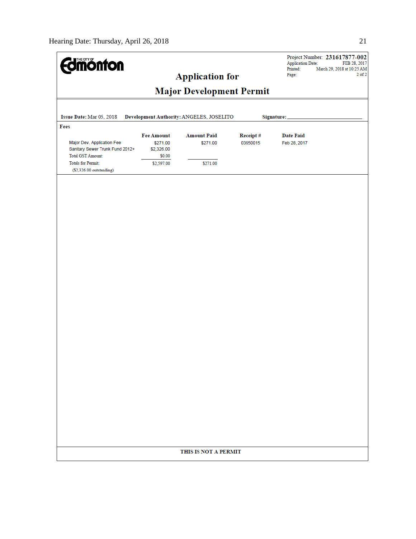| <b>dmonton</b>                                                                                                                                             |                                                                     | <b>Application for</b>                     |                      | <b>Application Date:</b><br>Printed:<br>Page: | Project Number: 231617877-002<br>FEB 28, 2017<br>March 29, 2018 at 10:25 AM<br>$2$ of $2$ |
|------------------------------------------------------------------------------------------------------------------------------------------------------------|---------------------------------------------------------------------|--------------------------------------------|----------------------|-----------------------------------------------|-------------------------------------------------------------------------------------------|
|                                                                                                                                                            |                                                                     | <b>Major Development Permit</b>            |                      |                                               |                                                                                           |
| Issue Date: Mar 05, 2018                                                                                                                                   |                                                                     | Development Authority: ANGELES, JOSELITO   |                      | Signature:                                    |                                                                                           |
| Fees<br>Major Dev. Application Fee<br>Sanitary Sewer Trunk Fund 2012+<br><b>Total GST Amount:</b><br><b>Totals for Permit:</b><br>(\$2,326.00 outstanding) | <b>Fee Amount</b><br>\$271.00<br>\$2,326.00<br>\$0.00<br>\$2,597.00 | <b>Amount Paid</b><br>\$271.00<br>\$271.00 | Receipt#<br>03950015 | <b>Date Paid</b><br>Feb 28, 2017              |                                                                                           |
|                                                                                                                                                            |                                                                     |                                            |                      |                                               |                                                                                           |
|                                                                                                                                                            |                                                                     |                                            |                      |                                               |                                                                                           |
|                                                                                                                                                            |                                                                     |                                            |                      |                                               |                                                                                           |
|                                                                                                                                                            |                                                                     |                                            |                      |                                               |                                                                                           |
|                                                                                                                                                            |                                                                     |                                            |                      |                                               |                                                                                           |
|                                                                                                                                                            |                                                                     |                                            |                      |                                               |                                                                                           |
|                                                                                                                                                            |                                                                     |                                            |                      |                                               |                                                                                           |
|                                                                                                                                                            |                                                                     |                                            |                      |                                               |                                                                                           |
|                                                                                                                                                            |                                                                     |                                            |                      |                                               |                                                                                           |
|                                                                                                                                                            |                                                                     |                                            |                      |                                               |                                                                                           |
|                                                                                                                                                            |                                                                     | THIS IS NOT A PERMIT                       |                      |                                               |                                                                                           |